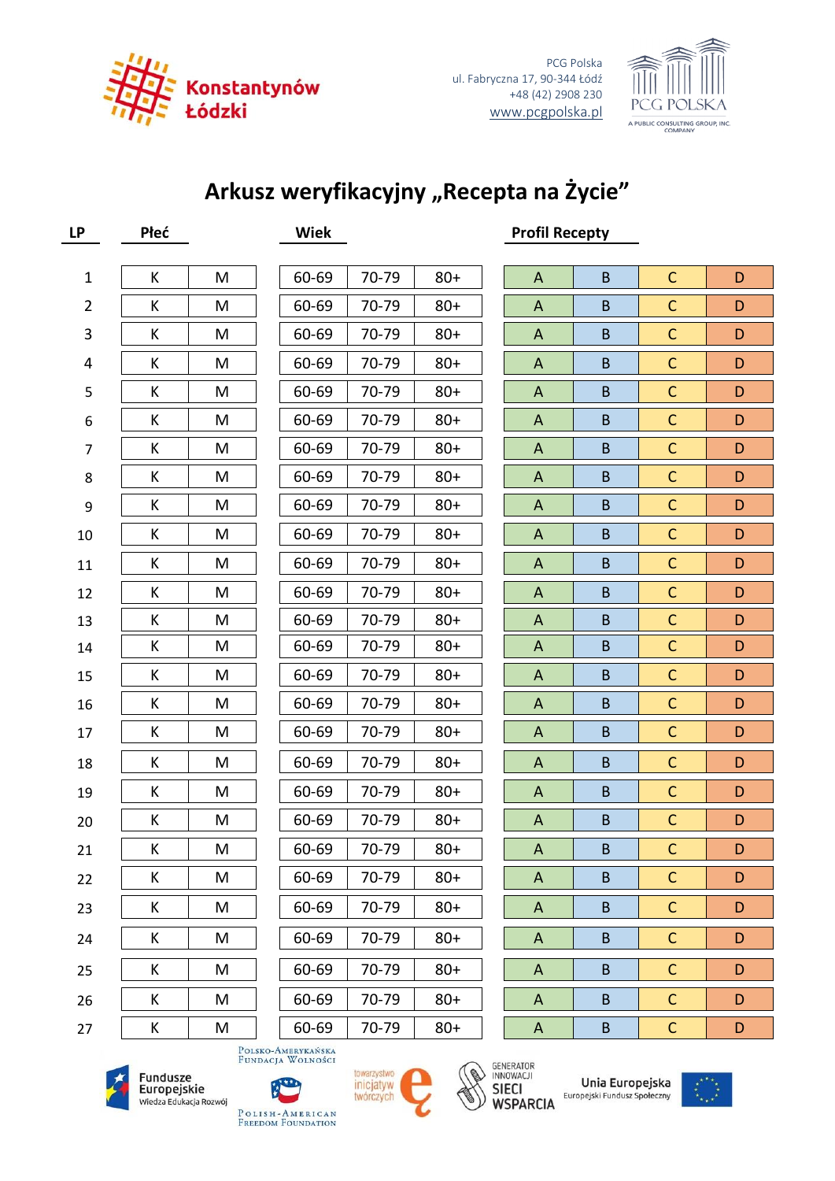

PCG Polska ul. Fabryczna 17, 90-344 Łódź +48 (42) 2908 230 [www.pcgpolska.pl](http://www.pcgpolska.pl/)



## Arkusz weryfikacyjny "Recepta na Życie"

| <b>LP</b>      | Płeć         |           | <b>Wiek</b> | <b>Profil Recepty</b> |        |  |                           |                |              |   |
|----------------|--------------|-----------|-------------|-----------------------|--------|--|---------------------------|----------------|--------------|---|
|                |              |           |             |                       |        |  |                           |                |              |   |
| $\mathbf 1$    | К            | M         | 60-69       | 70-79                 | $80+$  |  | $\mathsf{A}$              | $\sf{B}$       | $\mathsf C$  | D |
| $\overline{2}$ | К            | M         | 60-69       | 70-79                 | $80 +$ |  | A                         | $\sf{B}$       | $\mathsf{C}$ | D |
| 3              | К            | M         | 60-69       | 70-79                 | $80 +$ |  | A                         | $\sf{B}$       | $\mathsf C$  | D |
| 4              | К            | M         | 60-69       | 70-79                 | $80 +$ |  | A                         | $\sf{B}$       | $\mathsf{C}$ | D |
| 5              | К            | M         | 60-69       | 70-79                 | $80 +$ |  | A                         | $\sf{B}$       | $\mathsf{C}$ | D |
| 6              | К            | M         | 60-69       | 70-79                 | $80 +$ |  | $\mathsf{A}$              | $\sf{B}$       | $\mathsf C$  | D |
| $\overline{7}$ | К            | M         | 60-69       | 70-79                 | $80 +$ |  | A                         | $\sf{B}$       | $\mathsf{C}$ | D |
| 8              | К            | M         | 60-69       | 70-79                 | $80 +$ |  | $\mathsf{A}$              | $\sf{B}$       | $\mathsf{C}$ | D |
| 9              | К            | M         | 60-69       | 70-79                 | $80 +$ |  | $\mathsf{A}$              | $\sf{B}$       | $\mathsf C$  | D |
| $10\,$         | К            | M         | 60-69       | 70-79                 | $80 +$ |  | A                         | $\sf{B}$       | $\mathsf{C}$ | D |
| 11             | К            | M         | 60-69       | 70-79                 | $80 +$ |  | $\mathsf{A}$              | $\sf{B}$       | $\mathsf C$  | D |
| 12             | К            | M         | 60-69       | 70-79                 | $80 +$ |  | A                         | $\sf{B}$       | $\mathsf{C}$ | D |
| 13             | К            | M         | 60-69       | 70-79                 | $80 +$ |  | A                         | $\sf{B}$       | $\mathsf C$  | D |
| 14             | К            | M         | 60-69       | 70-79                 | $80+$  |  | $\mathsf{A}$              | $\sf{B}$       | $\mathsf{C}$ | D |
| 15             | К            | M         | 60-69       | 70-79                 | $80 +$ |  | A                         | $\sf{B}$       | $\mathsf{C}$ | D |
| 16             | К            | M         | 60-69       | 70-79                 | $80+$  |  | A                         | $\sf{B}$       | $\mathsf C$  | D |
| 17             | К            | M         | 60-69       | 70-79                 | $80 +$ |  | $\mathsf{A}$              | $\sf{B}$       | $\mathsf{C}$ | D |
| 18             | К            | M         | 60-69       | 70-79                 | $80 +$ |  | A                         | $\sf{B}$       | $\mathsf{C}$ | D |
| 19             | К            | M         | 60-69       | 70-79                 | $80 +$ |  | $\mathsf{A}$              | B              | $\mathsf C$  | D |
| 20             | К            | M         | 60-69       | 70-79                 | $80 +$ |  | $\mathsf{A}$              | $\sf{B}$       | $\mathsf{C}$ | D |
| 21             | $\mathsf{K}$ | ${\sf M}$ | 60-69       | 70-79                 | $80 +$ |  | $\boldsymbol{\mathsf{A}}$ | B              | $\mathsf{C}$ | D |
| 22             | К            | M         | 60-69       | 70-79                 | $80+$  |  | A                         | B              | $\mathsf{C}$ | D |
| 23             | K            | M         | 60-69       | 70-79                 | $80+$  |  | A                         | B              | $\mathsf{C}$ | D |
| 24             | K            | M         | 60-69       | 70-79                 | $80+$  |  | $\mathsf{A}$              | $\overline{B}$ | $\mathsf{C}$ | D |
| 25             | К            | M         | 60-69       | 70-79                 | $80+$  |  | $\mathsf{A}$              | B              | $\mathsf{C}$ | D |
| 26             | К            | M         | 60-69       | 70-79                 | $80+$  |  | $\mathsf{A}$              | B              | $\mathsf{C}$ | D |
| 27             | K            | M         | 60-69       | 70-79                 | $80+$  |  | A                         | B              | $\mathsf{C}$ | D |

Polsko-Amerykańska<br>Fundacja Wolności











Unia Europejska Europejski Fundusz Społeczny



POLISH-AMERICAN<br>Freedom Foundation